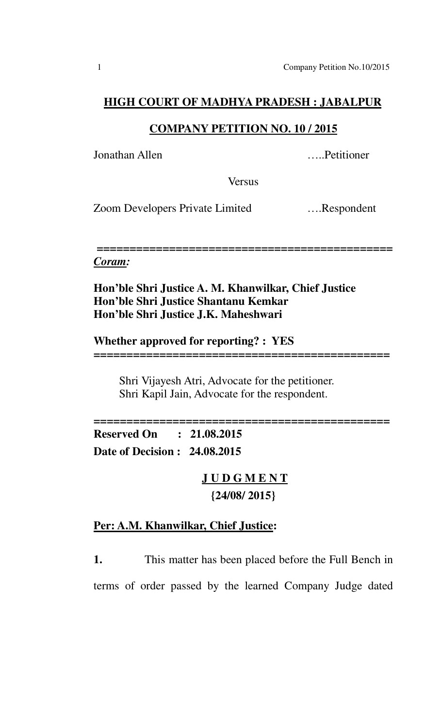#### **HIGH COURT OF MADHYA PRADESH : JABALPUR**

### **COMPANY PETITION NO. 10 / 2015**

Jonathan Allen …..Petitioner

**Versus** 

Zoom Developers Private Limited ….Respondent

*=============================================* 

#### *Coram:*

**Hon'ble Shri Justice A. M. Khanwilkar, Chief Justice Hon'ble Shri Justice Shantanu Kemkar Hon'ble Shri Justice J.K. Maheshwari** 

**Whether approved for reporting? : YES**

 Shri Vijayesh Atri, Advocate for the petitioner. Shri Kapil Jain, Advocate for the respondent.

*=============================================*

*=============================================* **Reserved On : 21.08.2015 Date of Decision : 24.08.2015** 

> **J U D G M E N T {24/08/ 2015}**

## **Per: A.M. Khanwilkar, Chief Justice:**

**1.** This matter has been placed before the Full Bench in terms of order passed by the learned Company Judge dated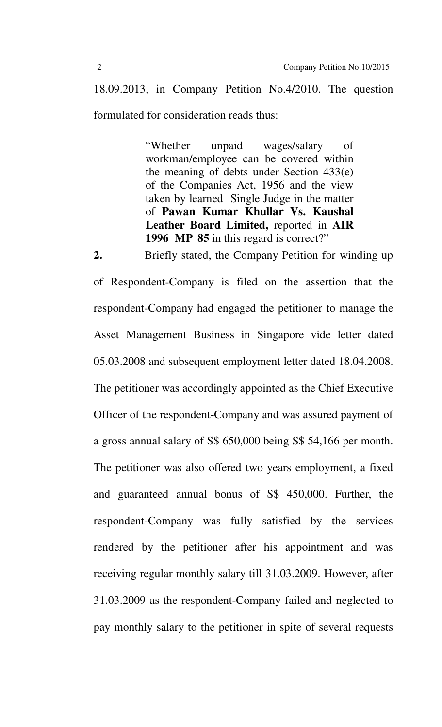18.09.2013, in Company Petition No.4/2010. The question formulated for consideration reads thus:

> "Whether unpaid wages/salary of workman/employee can be covered within the meaning of debts under Section 433(e) of the Companies Act, 1956 and the view taken by learned Single Judge in the matter of **Pawan Kumar Khullar Vs. Kaushal Leather Board Limited,** reported in **AIR 1996 MP 85** in this regard is correct?"

**2.** Briefly stated, the Company Petition for winding up of Respondent-Company is filed on the assertion that the respondent-Company had engaged the petitioner to manage the Asset Management Business in Singapore vide letter dated 05.03.2008 and subsequent employment letter dated 18.04.2008. The petitioner was accordingly appointed as the Chief Executive Officer of the respondent-Company and was assured payment of a gross annual salary of S\$ 650,000 being S\$ 54,166 per month. The petitioner was also offered two years employment, a fixed and guaranteed annual bonus of S\$ 450,000. Further, the respondent-Company was fully satisfied by the services rendered by the petitioner after his appointment and was receiving regular monthly salary till 31.03.2009. However, after 31.03.2009 as the respondent-Company failed and neglected to pay monthly salary to the petitioner in spite of several requests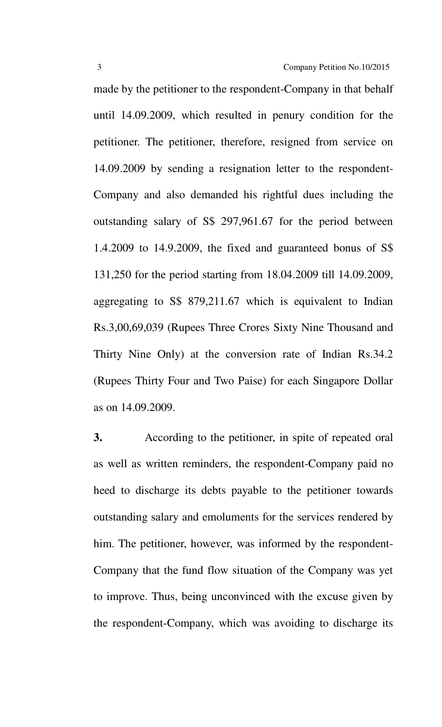made by the petitioner to the respondent-Company in that behalf until 14.09.2009, which resulted in penury condition for the petitioner. The petitioner, therefore, resigned from service on 14.09.2009 by sending a resignation letter to the respondent-Company and also demanded his rightful dues including the outstanding salary of S\$ 297,961.67 for the period between 1.4.2009 to 14.9.2009, the fixed and guaranteed bonus of S\$ 131,250 for the period starting from 18.04.2009 till 14.09.2009, aggregating to S\$ 879,211.67 which is equivalent to Indian Rs.3,00,69,039 (Rupees Three Crores Sixty Nine Thousand and Thirty Nine Only) at the conversion rate of Indian Rs.34.2 (Rupees Thirty Four and Two Paise) for each Singapore Dollar as on 14.09.2009.

**3.** According to the petitioner, in spite of repeated oral as well as written reminders, the respondent-Company paid no heed to discharge its debts payable to the petitioner towards outstanding salary and emoluments for the services rendered by him. The petitioner, however, was informed by the respondent-Company that the fund flow situation of the Company was yet to improve. Thus, being unconvinced with the excuse given by the respondent-Company, which was avoiding to discharge its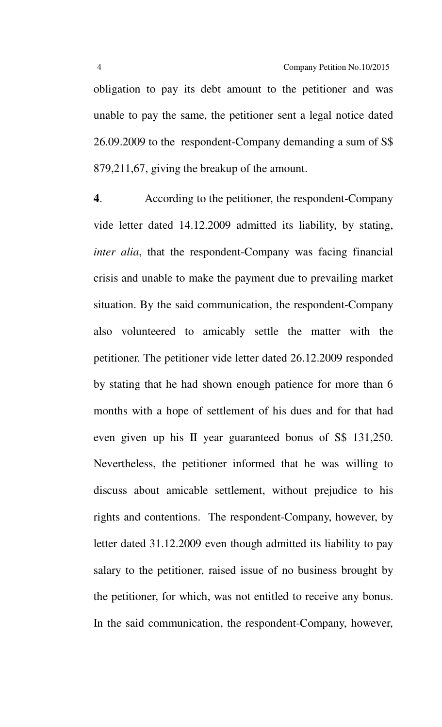obligation to pay its debt amount to the petitioner and was unable to pay the same, the petitioner sent a legal notice dated 26.09.2009 to the respondent-Company demanding a sum of S\$ 879,211,67, giving the breakup of the amount.

**4**. According to the petitioner, the respondent-Company vide letter dated 14.12.2009 admitted its liability, by stating, *inter alia*, that the respondent-Company was facing financial crisis and unable to make the payment due to prevailing market situation. By the said communication, the respondent-Company also volunteered to amicably settle the matter with the petitioner. The petitioner vide letter dated 26.12.2009 responded by stating that he had shown enough patience for more than 6 months with a hope of settlement of his dues and for that had even given up his II year guaranteed bonus of S\$ 131,250. Nevertheless, the petitioner informed that he was willing to discuss about amicable settlement, without prejudice to his rights and contentions. The respondent-Company, however, by letter dated 31.12.2009 even though admitted its liability to pay salary to the petitioner, raised issue of no business brought by the petitioner, for which, was not entitled to receive any bonus. In the said communication, the respondent-Company, however,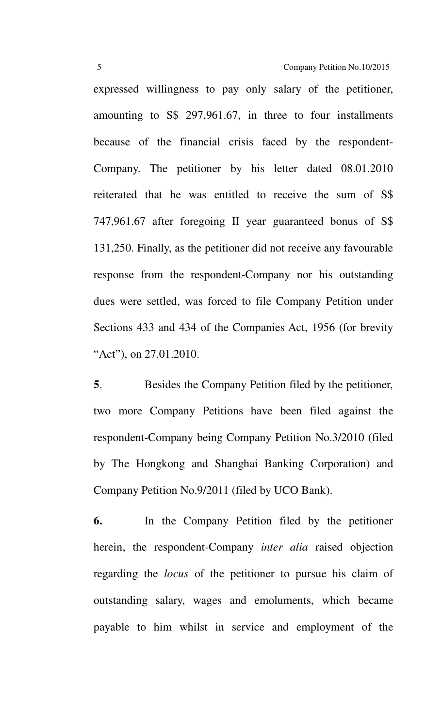expressed willingness to pay only salary of the petitioner, amounting to S\$ 297,961.67, in three to four installments because of the financial crisis faced by the respondent-Company. The petitioner by his letter dated 08.01.2010 reiterated that he was entitled to receive the sum of S\$ 747,961.67 after foregoing II year guaranteed bonus of S\$ 131,250. Finally, as the petitioner did not receive any favourable response from the respondent-Company nor his outstanding dues were settled, was forced to file Company Petition under Sections 433 and 434 of the Companies Act, 1956 (for brevity "Act"), on 27.01.2010.

**5**. Besides the Company Petition filed by the petitioner, two more Company Petitions have been filed against the respondent-Company being Company Petition No.3/2010 (filed by The Hongkong and Shanghai Banking Corporation) and Company Petition No.9/2011 (filed by UCO Bank).

**6.** In the Company Petition filed by the petitioner herein, the respondent-Company *inter alia* raised objection regarding the *locus* of the petitioner to pursue his claim of outstanding salary, wages and emoluments, which became payable to him whilst in service and employment of the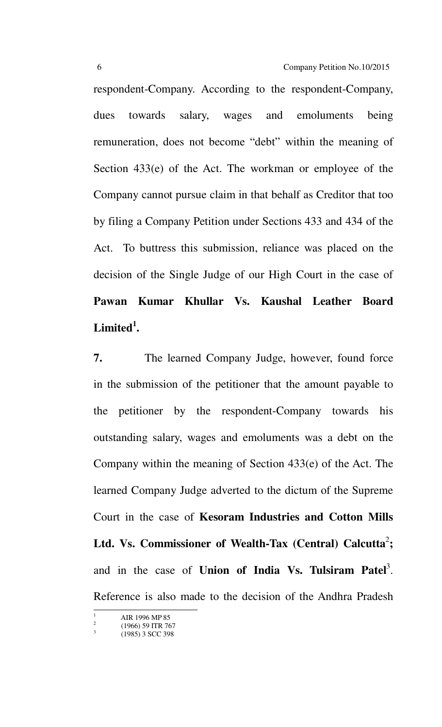respondent-Company. According to the respondent-Company, dues towards salary, wages and emoluments being remuneration, does not become "debt" within the meaning of Section 433(e) of the Act. The workman or employee of the Company cannot pursue claim in that behalf as Creditor that too by filing a Company Petition under Sections 433 and 434 of the Act. To buttress this submission, reliance was placed on the decision of the Single Judge of our High Court in the case of **Pawan Kumar Khullar Vs. Kaushal Leather Board Limited<sup>1</sup> .** 

**7.** The learned Company Judge, however, found force in the submission of the petitioner that the amount payable to the petitioner by the respondent-Company towards his outstanding salary, wages and emoluments was a debt on the Company within the meaning of Section 433(e) of the Act. The learned Company Judge adverted to the dictum of the Supreme Court in the case of **Kesoram Industries and Cotton Mills**  Ltd. Vs. Commissioner of Wealth-Tax (Central) Calcutta<sup>2</sup>; and in the case of **Union of India Vs. Tulsiram Patel**<sup>3</sup>. Reference is also made to the decision of the Andhra Pradesh

-

<sup>1</sup> AIR 1996 MP 85  $\overline{2}$ 

 <sup>(1966) 59</sup> ITR 767 3

 <sup>(1985) 3</sup> SCC 398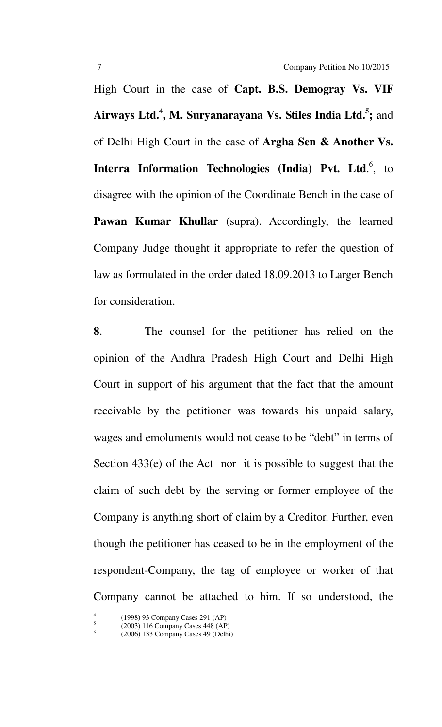High Court in the case of **Capt. B.S. Demogray Vs. VIF Airways Ltd.**<sup>4</sup> **, M. Suryanarayana Vs. Stiles India Ltd.<sup>5</sup> ;** and of Delhi High Court in the case of **Argha Sen & Another Vs. Interra Information Technologies (India) Pvt. Ltd.<sup>6</sup>, to** disagree with the opinion of the Coordinate Bench in the case of **Pawan Kumar Khullar** (supra). Accordingly, the learned Company Judge thought it appropriate to refer the question of law as formulated in the order dated 18.09.2013 to Larger Bench for consideration.

**8**. The counsel for the petitioner has relied on the opinion of the Andhra Pradesh High Court and Delhi High Court in support of his argument that the fact that the amount receivable by the petitioner was towards his unpaid salary, wages and emoluments would not cease to be "debt" in terms of Section 433(e) of the Act nor it is possible to suggest that the claim of such debt by the serving or former employee of the Company is anything short of claim by a Creditor. Further, even though the petitioner has ceased to be in the employment of the respondent-Company, the tag of employee or worker of that Company cannot be attached to him. If so understood, the

-

<sup>4</sup> (1998) 93 Company Cases 291 (AP)

<sup>5</sup> (2003) 116 Company Cases 448 (AP) 6

 <sup>(2006) 133</sup> Company Cases 49 (Delhi)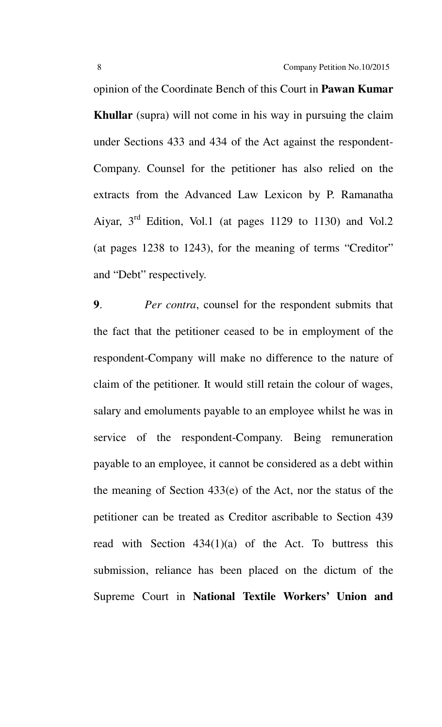opinion of the Coordinate Bench of this Court in **Pawan Kumar Khullar** (supra) will not come in his way in pursuing the claim under Sections 433 and 434 of the Act against the respondent-Company. Counsel for the petitioner has also relied on the extracts from the Advanced Law Lexicon by P. Ramanatha Aiyar,  $3<sup>rd</sup>$  Edition, Vol.1 (at pages 1129 to 1130) and Vol.2 (at pages 1238 to 1243), for the meaning of terms "Creditor" and "Debt" respectively.

**9**. *Per contra*, counsel for the respondent submits that the fact that the petitioner ceased to be in employment of the respondent-Company will make no difference to the nature of claim of the petitioner. It would still retain the colour of wages, salary and emoluments payable to an employee whilst he was in service of the respondent-Company. Being remuneration payable to an employee, it cannot be considered as a debt within the meaning of Section 433(e) of the Act, nor the status of the petitioner can be treated as Creditor ascribable to Section 439 read with Section  $434(1)(a)$  of the Act. To buttress this submission, reliance has been placed on the dictum of the Supreme Court in **National Textile Workers' Union and**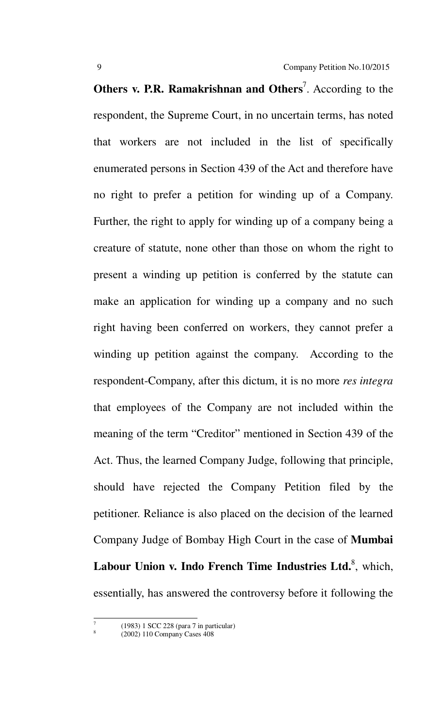**Others v. P.R. Ramakrishnan and Others<sup>7</sup>.** According to the respondent, the Supreme Court, in no uncertain terms, has noted that workers are not included in the list of specifically enumerated persons in Section 439 of the Act and therefore have no right to prefer a petition for winding up of a Company. Further, the right to apply for winding up of a company being a creature of statute, none other than those on whom the right to present a winding up petition is conferred by the statute can make an application for winding up a company and no such right having been conferred on workers, they cannot prefer a winding up petition against the company. According to the respondent-Company, after this dictum, it is no more *res integra* that employees of the Company are not included within the meaning of the term "Creditor" mentioned in Section 439 of the Act. Thus, the learned Company Judge, following that principle, should have rejected the Company Petition filed by the petitioner. Reliance is also placed on the decision of the learned Company Judge of Bombay High Court in the case of **Mumbai**  Labour Union v. Indo French Time Industries Ltd.<sup>8</sup>, which, essentially, has answered the controversy before it following the

<u>.</u> 7

8

 <sup>(1983) 1</sup> SCC 228 (para 7 in particular)

 <sup>(2002) 110</sup> Company Cases 408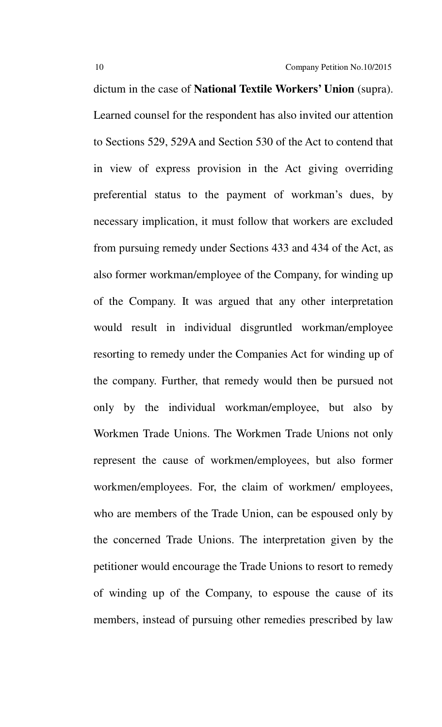dictum in the case of **National Textile Workers' Union** (supra). Learned counsel for the respondent has also invited our attention to Sections 529, 529A and Section 530 of the Act to contend that in view of express provision in the Act giving overriding preferential status to the payment of workman's dues, by necessary implication, it must follow that workers are excluded from pursuing remedy under Sections 433 and 434 of the Act, as also former workman/employee of the Company, for winding up of the Company. It was argued that any other interpretation would result in individual disgruntled workman/employee resorting to remedy under the Companies Act for winding up of the company. Further, that remedy would then be pursued not only by the individual workman/employee, but also by Workmen Trade Unions. The Workmen Trade Unions not only represent the cause of workmen/employees, but also former workmen/employees. For, the claim of workmen/ employees, who are members of the Trade Union, can be espoused only by the concerned Trade Unions. The interpretation given by the petitioner would encourage the Trade Unions to resort to remedy of winding up of the Company, to espouse the cause of its members, instead of pursuing other remedies prescribed by law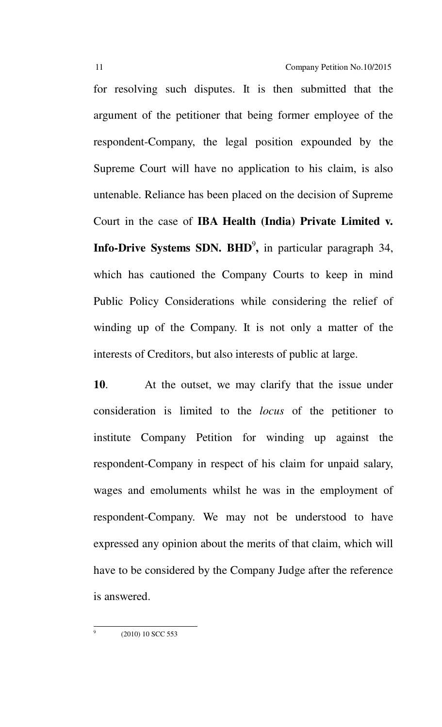for resolving such disputes. It is then submitted that the argument of the petitioner that being former employee of the respondent-Company, the legal position expounded by the Supreme Court will have no application to his claim, is also untenable. Reliance has been placed on the decision of Supreme Court in the case of **IBA Health (India) Private Limited v. Info-Drive Systems SDN. BHD<sup>9</sup>, in particular paragraph 34,** which has cautioned the Company Courts to keep in mind Public Policy Considerations while considering the relief of winding up of the Company. It is not only a matter of the interests of Creditors, but also interests of public at large.

**10**. At the outset, we may clarify that the issue under consideration is limited to the *locus* of the petitioner to institute Company Petition for winding up against the respondent-Company in respect of his claim for unpaid salary, wages and emoluments whilst he was in the employment of respondent-Company. We may not be understood to have expressed any opinion about the merits of that claim, which will have to be considered by the Company Judge after the reference is answered.

(2010) 10 SCC 553

<u>.</u> 9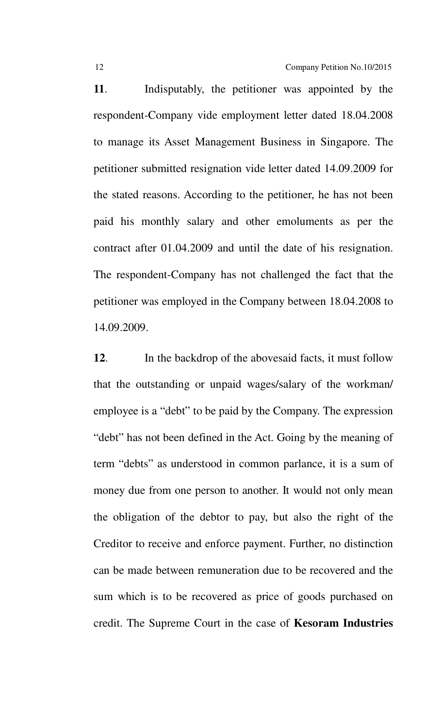**11**. Indisputably, the petitioner was appointed by the respondent-Company vide employment letter dated 18.04.2008 to manage its Asset Management Business in Singapore. The petitioner submitted resignation vide letter dated 14.09.2009 for the stated reasons. According to the petitioner, he has not been paid his monthly salary and other emoluments as per the contract after 01.04.2009 and until the date of his resignation. The respondent-Company has not challenged the fact that the petitioner was employed in the Company between 18.04.2008 to 14.09.2009.

**12**. In the backdrop of the abovesaid facts, it must follow that the outstanding or unpaid wages/salary of the workman/ employee is a "debt" to be paid by the Company. The expression "debt" has not been defined in the Act. Going by the meaning of term "debts" as understood in common parlance, it is a sum of money due from one person to another. It would not only mean the obligation of the debtor to pay, but also the right of the Creditor to receive and enforce payment. Further, no distinction can be made between remuneration due to be recovered and the sum which is to be recovered as price of goods purchased on credit. The Supreme Court in the case of **Kesoram Industries**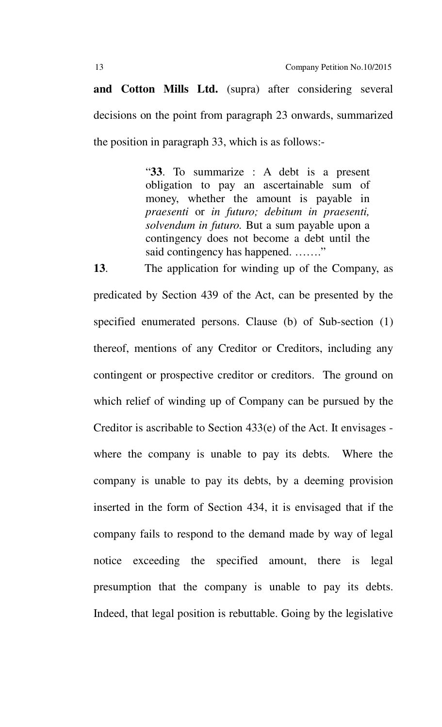**and Cotton Mills Ltd.** (supra) after considering several decisions on the point from paragraph 23 onwards, summarized the position in paragraph 33, which is as follows:-

> "**33**. To summarize : A debt is a present obligation to pay an ascertainable sum of money, whether the amount is payable in *praesenti* or *in futuro; debitum in praesenti, solvendum in futuro.* But a sum payable upon a contingency does not become a debt until the said contingency has happened. …….."

**13**. The application for winding up of the Company, as predicated by Section 439 of the Act, can be presented by the specified enumerated persons. Clause (b) of Sub-section (1) thereof, mentions of any Creditor or Creditors, including any contingent or prospective creditor or creditors. The ground on which relief of winding up of Company can be pursued by the Creditor is ascribable to Section 433(e) of the Act. It envisages where the company is unable to pay its debts. Where the company is unable to pay its debts, by a deeming provision inserted in the form of Section 434, it is envisaged that if the company fails to respond to the demand made by way of legal notice exceeding the specified amount, there is legal presumption that the company is unable to pay its debts. Indeed, that legal position is rebuttable. Going by the legislative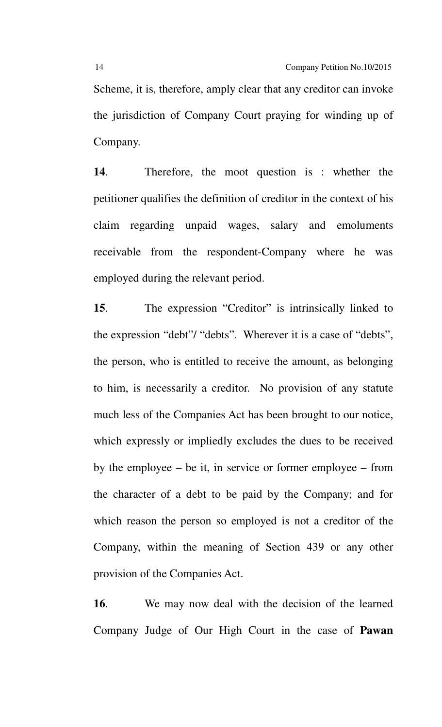Scheme, it is, therefore, amply clear that any creditor can invoke the jurisdiction of Company Court praying for winding up of Company.

**14**. Therefore, the moot question is : whether the petitioner qualifies the definition of creditor in the context of his claim regarding unpaid wages, salary and emoluments receivable from the respondent-Company where he was employed during the relevant period.

**15**. The expression "Creditor" is intrinsically linked to the expression "debt"/ "debts". Wherever it is a case of "debts", the person, who is entitled to receive the amount, as belonging to him, is necessarily a creditor. No provision of any statute much less of the Companies Act has been brought to our notice, which expressly or impliedly excludes the dues to be received by the employee – be it, in service or former employee – from the character of a debt to be paid by the Company; and for which reason the person so employed is not a creditor of the Company, within the meaning of Section 439 or any other provision of the Companies Act.

**16**. We may now deal with the decision of the learned Company Judge of Our High Court in the case of **Pawan**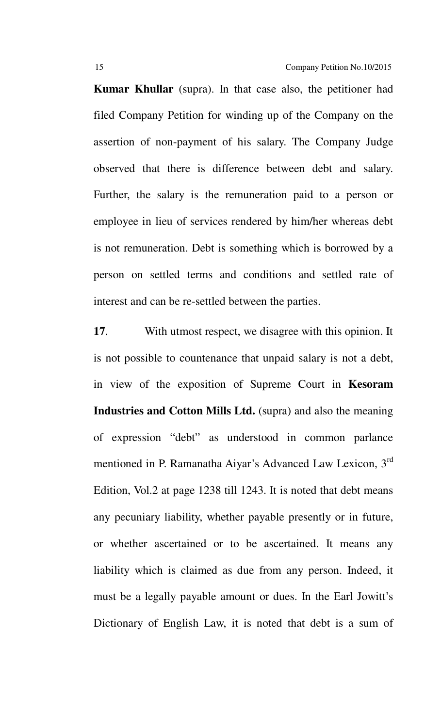**Kumar Khullar** (supra). In that case also, the petitioner had filed Company Petition for winding up of the Company on the assertion of non-payment of his salary. The Company Judge observed that there is difference between debt and salary. Further, the salary is the remuneration paid to a person or employee in lieu of services rendered by him/her whereas debt is not remuneration. Debt is something which is borrowed by a person on settled terms and conditions and settled rate of interest and can be re-settled between the parties.

**17**. With utmost respect, we disagree with this opinion. It is not possible to countenance that unpaid salary is not a debt, in view of the exposition of Supreme Court in **Kesoram Industries and Cotton Mills Ltd.** (supra) and also the meaning of expression "debt" as understood in common parlance mentioned in P. Ramanatha Aiyar's Advanced Law Lexicon, 3rd Edition, Vol.2 at page 1238 till 1243. It is noted that debt means any pecuniary liability, whether payable presently or in future, or whether ascertained or to be ascertained. It means any liability which is claimed as due from any person. Indeed, it must be a legally payable amount or dues. In the Earl Jowitt's Dictionary of English Law, it is noted that debt is a sum of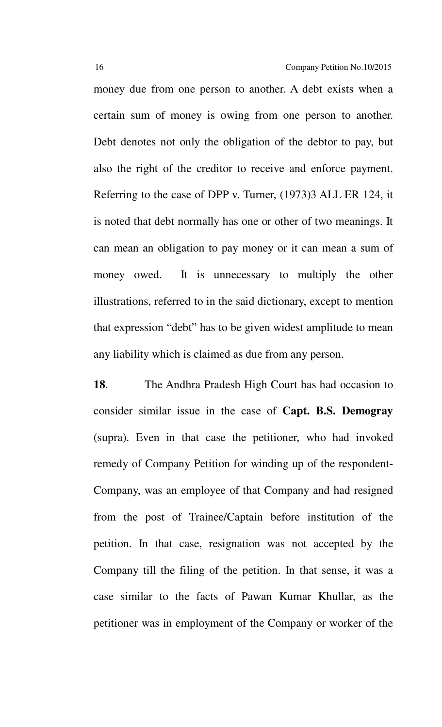money due from one person to another. A debt exists when a certain sum of money is owing from one person to another. Debt denotes not only the obligation of the debtor to pay, but also the right of the creditor to receive and enforce payment. Referring to the case of DPP v. Turner, (1973)3 ALL ER 124, it is noted that debt normally has one or other of two meanings. It can mean an obligation to pay money or it can mean a sum of money owed. It is unnecessary to multiply the other illustrations, referred to in the said dictionary, except to mention that expression "debt" has to be given widest amplitude to mean any liability which is claimed as due from any person.

**18**. The Andhra Pradesh High Court has had occasion to consider similar issue in the case of **Capt. B.S. Demogray** (supra). Even in that case the petitioner, who had invoked remedy of Company Petition for winding up of the respondent-Company, was an employee of that Company and had resigned from the post of Trainee/Captain before institution of the petition. In that case, resignation was not accepted by the Company till the filing of the petition. In that sense, it was a case similar to the facts of Pawan Kumar Khullar, as the petitioner was in employment of the Company or worker of the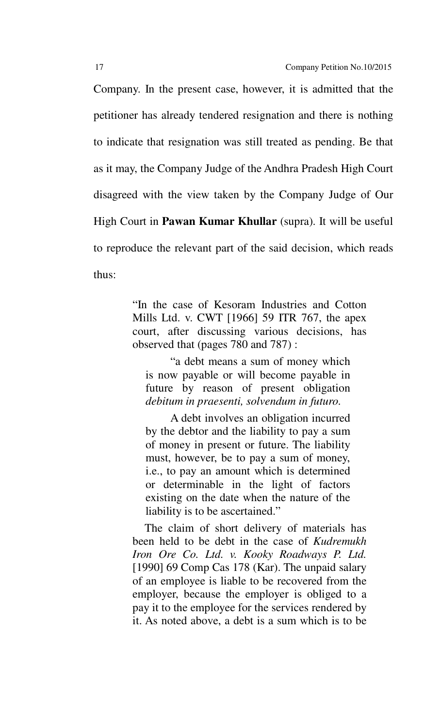Company. In the present case, however, it is admitted that the petitioner has already tendered resignation and there is nothing to indicate that resignation was still treated as pending. Be that as it may, the Company Judge of the Andhra Pradesh High Court disagreed with the view taken by the Company Judge of Our High Court in **Pawan Kumar Khullar** (supra). It will be useful to reproduce the relevant part of the said decision, which reads thus:

> "In the case of Kesoram Industries and Cotton Mills Ltd. v. CWT [1966] 59 ITR 767, the apex court, after discussing various decisions, has observed that (pages 780 and 787) :

 "a debt means a sum of money which is now payable or will become payable in future by reason of present obligation *debitum in praesenti, solvendum in futuro.*

 A debt involves an obligation incurred by the debtor and the liability to pay a sum of money in present or future. The liability must, however, be to pay a sum of money, i.e., to pay an amount which is determined or determinable in the light of factors existing on the date when the nature of the liability is to be ascertained."

 The claim of short delivery of materials has been held to be debt in the case of *Kudremukh Iron Ore Co. Ltd. v. Kooky Roadways P. Ltd.* [1990] 69 Comp Cas 178 (Kar). The unpaid salary of an employee is liable to be recovered from the employer, because the employer is obliged to a pay it to the employee for the services rendered by it. As noted above, a debt is a sum which is to be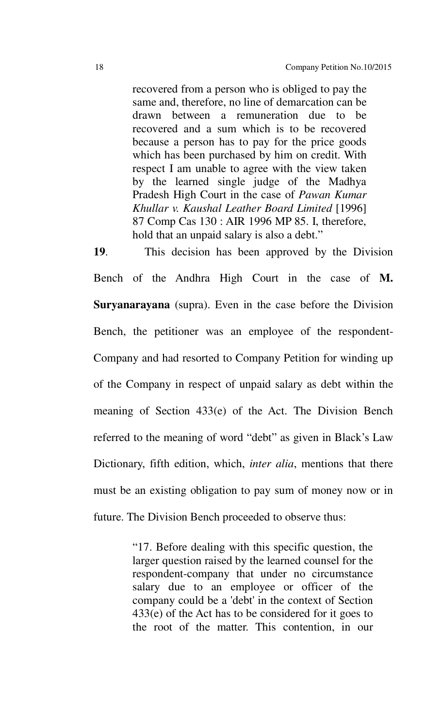recovered from a person who is obliged to pay the same and, therefore, no line of demarcation can be drawn between a remuneration due to be recovered and a sum which is to be recovered because a person has to pay for the price goods which has been purchased by him on credit. With respect I am unable to agree with the view taken by the learned single judge of the Madhya Pradesh High Court in the case of *Pawan Kumar Khullar v. Kaushal Leather Board Limited* [1996] 87 Comp Cas 130 : AIR 1996 MP 85. I, therefore, hold that an unpaid salary is also a debt."

**19**. This decision has been approved by the Division Bench of the Andhra High Court in the case of **M. Suryanarayana** (supra). Even in the case before the Division Bench, the petitioner was an employee of the respondent-Company and had resorted to Company Petition for winding up of the Company in respect of unpaid salary as debt within the meaning of Section 433(e) of the Act. The Division Bench referred to the meaning of word "debt" as given in Black's Law Dictionary, fifth edition, which, *inter alia*, mentions that there must be an existing obligation to pay sum of money now or in future. The Division Bench proceeded to observe thus:

> "17. Before dealing with this specific question, the larger question raised by the learned counsel for the respondent-company that under no circumstance salary due to an employee or officer of the company could be a 'debt' in the context of Section 433(e) of the Act has to be considered for it goes to the root of the matter. This contention, in our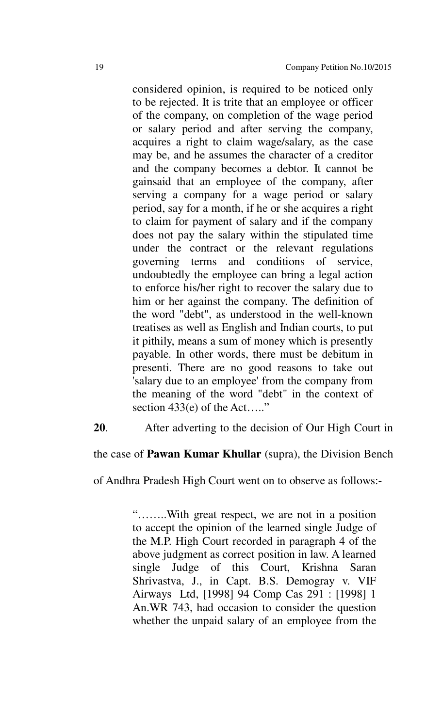considered opinion, is required to be noticed only to be rejected. It is trite that an employee or officer of the company, on completion of the wage period or salary period and after serving the company, acquires a right to claim wage/salary, as the case may be, and he assumes the character of a creditor and the company becomes a debtor. It cannot be gainsaid that an employee of the company, after serving a company for a wage period or salary period, say for a month, if he or she acquires a right to claim for payment of salary and if the company does not pay the salary within the stipulated time under the contract or the relevant regulations governing terms and conditions of service, undoubtedly the employee can bring a legal action to enforce his/her right to recover the salary due to him or her against the company. The definition of the word "debt", as understood in the well-known treatises as well as English and Indian courts, to put it pithily, means a sum of money which is presently payable. In other words, there must be debitum in presenti. There are no good reasons to take out 'salary due to an employee' from the company from the meaning of the word "debt" in the context of section  $433(e)$  of the Act....."

**20**. After adverting to the decision of Our High Court in

the case of **Pawan Kumar Khullar** (supra), the Division Bench

of Andhra Pradesh High Court went on to observe as follows:-

"……..With great respect, we are not in a position to accept the opinion of the learned single Judge of the M.P. High Court recorded in paragraph 4 of the above judgment as correct position in law. A learned single Judge of this Court, Krishna Saran Shrivastva, J., in Capt. B.S. Demogray v. VIF Airways Ltd, [1998] 94 Comp Cas 291 : [1998] 1 An.WR 743, had occasion to consider the question whether the unpaid salary of an employee from the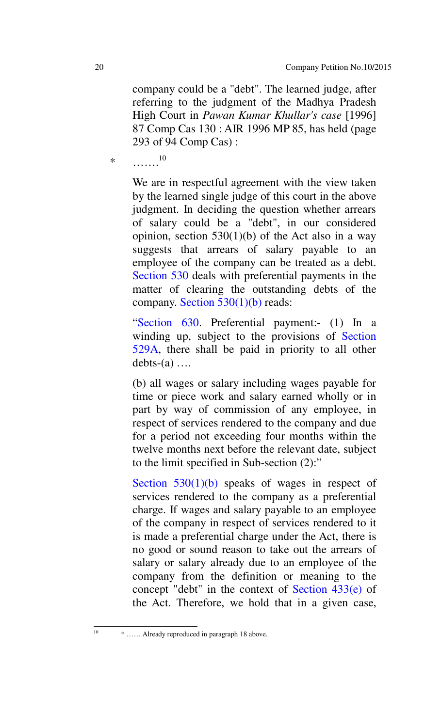company could be a "debt". The learned judge, after referring to the judgment of the Madhya Pradesh High Court in *Pawan Kumar Khullar's case* [1996] 87 Comp Cas 130 : AIR 1996 MP 85, has held (page 293 of 94 Comp Cas) :

\*  $\ldots \ldots \ldots$ <sup>10</sup>

We are in respectful agreement with the view taken by the learned single judge of this court in the above judgment. In deciding the question whether arrears of salary could be a "debt", in our considered opinion, section  $530(1)(b)$  of the Act also in a way suggests that arrears of salary payable to an employee of the company can be treated as a debt. Section 530 deals with preferential payments in the matter of clearing the outstanding debts of the company. Section  $530(1)(b)$  reads:

"Section 630. Preferential payment:- (1) In a winding up, subject to the provisions of Section 529A, there shall be paid in priority to all other  $debts-(a) \ldots$ 

(b) all wages or salary including wages payable for time or piece work and salary earned wholly or in part by way of commission of any employee, in respect of services rendered to the company and due for a period not exceeding four months within the twelve months next before the relevant date, subject to the limit specified in Sub-section (2):"

Section  $530(1)(b)$  speaks of wages in respect of services rendered to the company as a preferential charge. If wages and salary payable to an employee of the company in respect of services rendered to it is made a preferential charge under the Act, there is no good or sound reason to take out the arrears of salary or salary already due to an employee of the company from the definition or meaning to the concept "debt" in the context of Section 433(e) of the Act. Therefore, we hold that in a given case,

 $10<sup>10</sup>$ 

<sup>10</sup> \* …… Already reproduced in paragraph 18 above.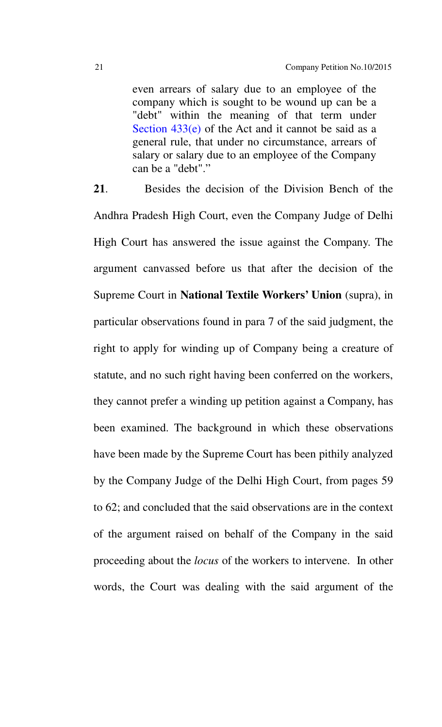even arrears of salary due to an employee of the company which is sought to be wound up can be a "debt" within the meaning of that term under Section 433(e) of the Act and it cannot be said as a general rule, that under no circumstance, arrears of salary or salary due to an employee of the Company can be a "debt"."

**21**. Besides the decision of the Division Bench of the Andhra Pradesh High Court, even the Company Judge of Delhi High Court has answered the issue against the Company. The argument canvassed before us that after the decision of the Supreme Court in **National Textile Workers' Union** (supra), in particular observations found in para 7 of the said judgment, the right to apply for winding up of Company being a creature of statute, and no such right having been conferred on the workers, they cannot prefer a winding up petition against a Company, has been examined. The background in which these observations have been made by the Supreme Court has been pithily analyzed by the Company Judge of the Delhi High Court, from pages 59 to 62; and concluded that the said observations are in the context of the argument raised on behalf of the Company in the said proceeding about the *locus* of the workers to intervene. In other words, the Court was dealing with the said argument of the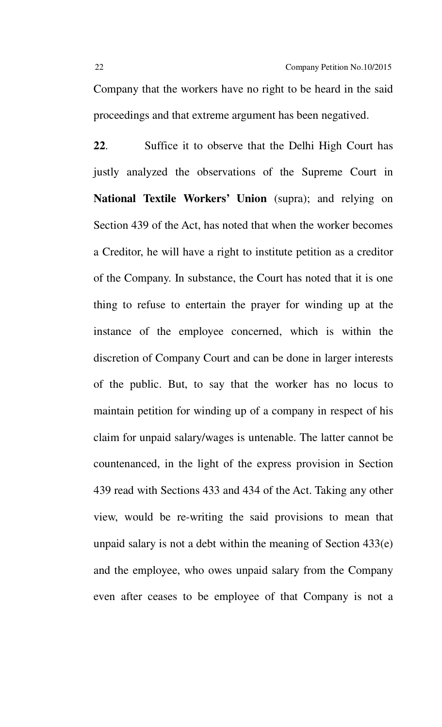Company that the workers have no right to be heard in the said proceedings and that extreme argument has been negatived.

**22**. Suffice it to observe that the Delhi High Court has justly analyzed the observations of the Supreme Court in **National Textile Workers' Union** (supra); and relying on Section 439 of the Act, has noted that when the worker becomes a Creditor, he will have a right to institute petition as a creditor of the Company. In substance, the Court has noted that it is one thing to refuse to entertain the prayer for winding up at the instance of the employee concerned, which is within the discretion of Company Court and can be done in larger interests of the public. But, to say that the worker has no locus to maintain petition for winding up of a company in respect of his claim for unpaid salary/wages is untenable. The latter cannot be countenanced, in the light of the express provision in Section 439 read with Sections 433 and 434 of the Act. Taking any other view, would be re-writing the said provisions to mean that unpaid salary is not a debt within the meaning of Section 433(e) and the employee, who owes unpaid salary from the Company even after ceases to be employee of that Company is not a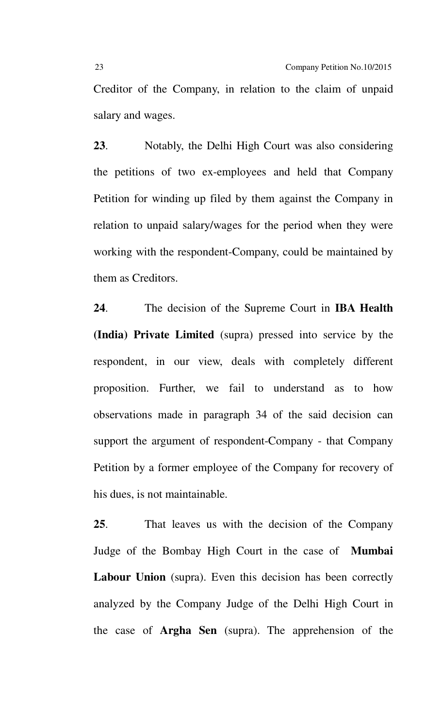Creditor of the Company, in relation to the claim of unpaid salary and wages.

**23**. Notably, the Delhi High Court was also considering the petitions of two ex-employees and held that Company Petition for winding up filed by them against the Company in relation to unpaid salary/wages for the period when they were working with the respondent-Company, could be maintained by them as Creditors.

**24**. The decision of the Supreme Court in **IBA Health (India) Private Limited** (supra) pressed into service by the respondent, in our view, deals with completely different proposition. Further, we fail to understand as to how observations made in paragraph 34 of the said decision can support the argument of respondent-Company - that Company Petition by a former employee of the Company for recovery of his dues, is not maintainable.

**25**. That leaves us with the decision of the Company Judge of the Bombay High Court in the case of **Mumbai Labour Union** (supra). Even this decision has been correctly analyzed by the Company Judge of the Delhi High Court in the case of **Argha Sen** (supra). The apprehension of the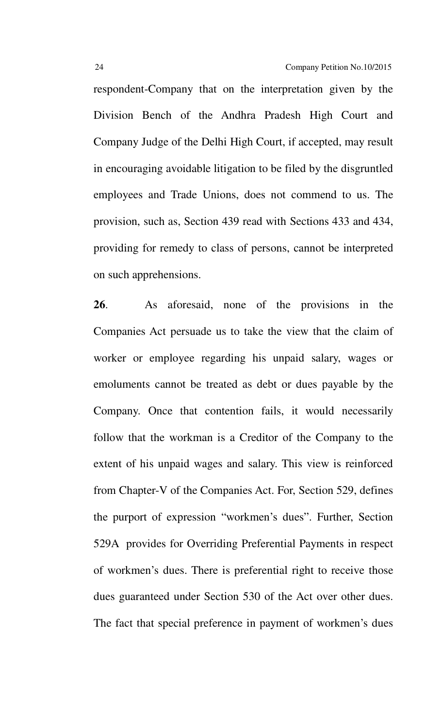respondent-Company that on the interpretation given by the Division Bench of the Andhra Pradesh High Court and Company Judge of the Delhi High Court, if accepted, may result in encouraging avoidable litigation to be filed by the disgruntled employees and Trade Unions, does not commend to us. The provision, such as, Section 439 read with Sections 433 and 434, providing for remedy to class of persons, cannot be interpreted on such apprehensions.

**26**. As aforesaid, none of the provisions in the Companies Act persuade us to take the view that the claim of worker or employee regarding his unpaid salary, wages or emoluments cannot be treated as debt or dues payable by the Company. Once that contention fails, it would necessarily follow that the workman is a Creditor of the Company to the extent of his unpaid wages and salary. This view is reinforced from Chapter-V of the Companies Act. For, Section 529, defines the purport of expression "workmen's dues". Further, Section 529A provides for Overriding Preferential Payments in respect of workmen's dues. There is preferential right to receive those dues guaranteed under Section 530 of the Act over other dues. The fact that special preference in payment of workmen's dues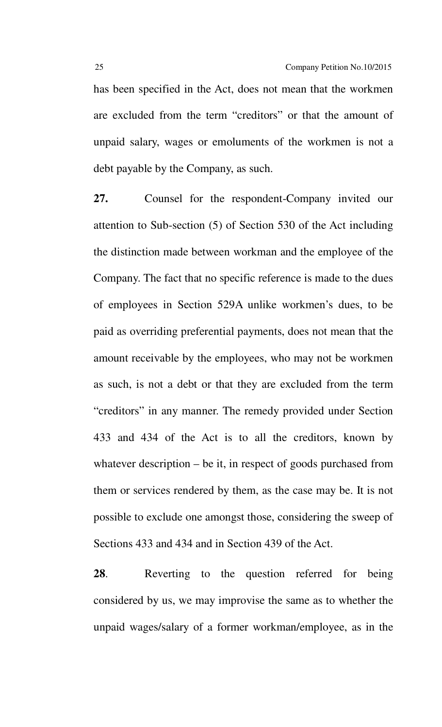has been specified in the Act, does not mean that the workmen are excluded from the term "creditors" or that the amount of unpaid salary, wages or emoluments of the workmen is not a debt payable by the Company, as such.

**27.** Counsel for the respondent-Company invited our attention to Sub-section (5) of Section 530 of the Act including the distinction made between workman and the employee of the Company. The fact that no specific reference is made to the dues of employees in Section 529A unlike workmen's dues, to be paid as overriding preferential payments, does not mean that the amount receivable by the employees, who may not be workmen as such, is not a debt or that they are excluded from the term "creditors" in any manner. The remedy provided under Section 433 and 434 of the Act is to all the creditors, known by whatever description – be it, in respect of goods purchased from them or services rendered by them, as the case may be. It is not possible to exclude one amongst those, considering the sweep of Sections 433 and 434 and in Section 439 of the Act.

**28**. Reverting to the question referred for being considered by us, we may improvise the same as to whether the unpaid wages/salary of a former workman/employee, as in the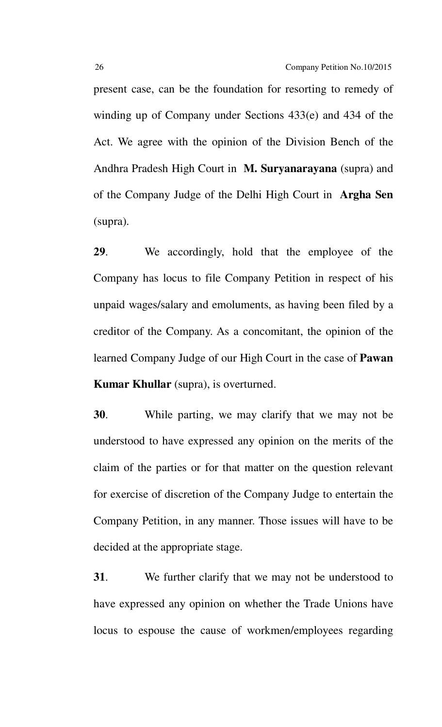present case, can be the foundation for resorting to remedy of winding up of Company under Sections 433(e) and 434 of the Act. We agree with the opinion of the Division Bench of the Andhra Pradesh High Court in **M. Suryanarayana** (supra) and of the Company Judge of the Delhi High Court in **Argha Sen** (supra).

**29**. We accordingly, hold that the employee of the Company has locus to file Company Petition in respect of his unpaid wages/salary and emoluments, as having been filed by a creditor of the Company. As a concomitant, the opinion of the learned Company Judge of our High Court in the case of **Pawan Kumar Khullar** (supra), is overturned.

**30**. While parting, we may clarify that we may not be understood to have expressed any opinion on the merits of the claim of the parties or for that matter on the question relevant for exercise of discretion of the Company Judge to entertain the Company Petition, in any manner. Those issues will have to be decided at the appropriate stage.

**31**. We further clarify that we may not be understood to have expressed any opinion on whether the Trade Unions have locus to espouse the cause of workmen/employees regarding